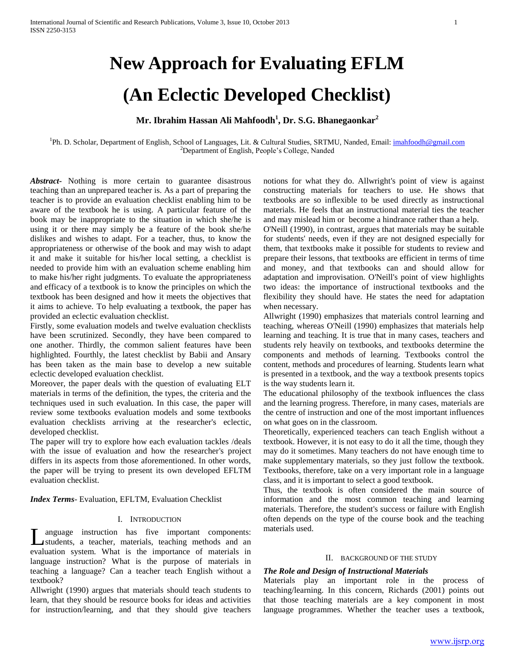# **New Approach for Evaluating EFLM**

# **(An Eclectic Developed Checklist)**

# **Mr. Ibrahim Hassan Ali Mahfoodh<sup>1</sup> , Dr. S.G. Bhanegaonkar<sup>2</sup>**

<sup>1</sup>Ph. D. Scholar, Department of English, School of Languages, Lit. & Cultural Studies, SRTMU, Nanded, Email[: imahfoodh@gmail.com](mailto:imahfoodh@gmail.com) <sup>2</sup>Department of English, People's College, Nanded

*Abstract***-** Nothing is more certain to guarantee disastrous teaching than an unprepared teacher is. As a part of preparing the teacher is to provide an evaluation checklist enabling him to be aware of the textbook he is using. A particular feature of the book may be inappropriate to the situation in which she/he is using it or there may simply be a feature of the book she/he dislikes and wishes to adapt. For a teacher, thus, to know the appropriateness or otherwise of the book and may wish to adapt it and make it suitable for his/her local setting, a checklist is needed to provide him with an evaluation scheme enabling him to make his/her right judgments. To evaluate the appropriateness and efficacy of a textbook is to know the principles on which the textbook has been designed and how it meets the objectives that it aims to achieve. To help evaluating a textbook, the paper has provided an eclectic evaluation checklist.

Firstly, some evaluation models and twelve evaluation checklists have been scrutinized. Secondly, they have been compared to one another. Thirdly, the common salient features have been highlighted. Fourthly, the latest checklist by Babii and Ansary has been taken as the main base to develop a new suitable eclectic developed evaluation checklist.

Moreover, the paper deals with the question of evaluating ELT materials in terms of the definition, the types, the criteria and the techniques used in such evaluation. In this case, the paper will review some textbooks evaluation models and some textbooks evaluation checklists arriving at the researcher's eclectic, developed checklist.

The paper will try to explore how each evaluation tackles /deals with the issue of evaluation and how the researcher's project differs in its aspects from those aforementioned. In other words, the paper will be trying to present its own developed EFLTM evaluation checklist.

*Index Terms*- Evaluation, EFLTM, Evaluation Checklist

#### I. INTRODUCTION

anguage instruction has five important components: students, a teacher, materials, teaching methods and an evaluation system. What is the importance of materials in language instruction? What is the purpose of materials in teaching a language? Can a teacher teach English without a textbook? L

Allwright (1990) argues that materials should teach students to learn, that they should be resource books for ideas and activities for instruction/learning, and that they should give teachers

notions for what they do. Allwright's point of view is against constructing materials for teachers to use. He shows that textbooks are so inflexible to be used directly as instructional materials. He feels that an instructional material ties the teacher and may mislead him or become a hindrance rather than a help.

O'Neill (1990), in contrast, argues that materials may be suitable for students' needs, even if they are not designed especially for them, that textbooks make it possible for students to review and prepare their lessons, that textbooks are efficient in terms of time and money, and that textbooks can and should allow for adaptation and improvisation. O'Neill's point of view highlights two ideas: the importance of instructional textbooks and the flexibility they should have. He states the need for adaptation when necessary.

Allwright (1990) emphasizes that materials control learning and teaching, whereas O'Neill (1990) emphasizes that materials help learning and teaching. It is true that in many cases, teachers and students rely heavily on textbooks, and textbooks determine the components and methods of learning. Textbooks control the content, methods and procedures of learning. Students learn what is presented in a textbook, and the way a textbook presents topics is the way students learn it.

The educational philosophy of the textbook influences the class and the learning progress. Therefore, in many cases, materials are the centre of instruction and one of the most important influences on what goes on in the classroom.

Theoretically, experienced teachers can teach English without a textbook. However, it is not easy to do it all the time, though they may do it sometimes. Many teachers do not have enough time to make supplementary materials, so they just follow the textbook. Textbooks, therefore, take on a very important role in a language class, and it is important to select a good textbook.

Thus, the textbook is often considered the main source of information and the most common teaching and learning materials. Therefore, the student's success or failure with English often depends on the type of the course book and the teaching materials used.

#### II. BACKGROUND OF THE STUDY

#### *The Role and Design of Instructional Materials*

Materials play an important role in the process of teaching/learning. In this concern, Richards (2001) points out that those teaching materials are a key component in most language programmes. Whether the teacher uses a textbook,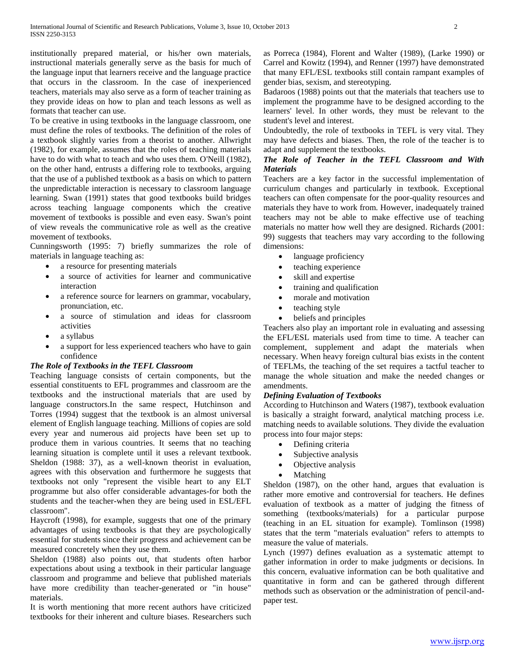institutionally prepared material, or his/her own materials, instructional materials generally serve as the basis for much of the language input that learners receive and the language practice that occurs in the classroom. In the case of inexperienced teachers, materials may also serve as a form of teacher training as they provide ideas on how to plan and teach lessons as well as formats that teacher can use.

To be creative in using textbooks in the language classroom, one must define the roles of textbooks. The definition of the roles of a textbook slightly varies from a theorist to another. Allwright (1982), for example, assumes that the roles of teaching materials have to do with what to teach and who uses them. O'Neill (1982), on the other hand, entrusts a differing role to textbooks, arguing that the use of a published textbook as a basis on which to pattern the unpredictable interaction is necessary to classroom language learning. Swan (1991) states that good textbooks build bridges across teaching language components which the creative movement of textbooks is possible and even easy. Swan's point of view reveals the communicative role as well as the creative movement of textbooks.

Cunningsworth (1995: 7) briefly summarizes the role of materials in language teaching as:

- a resource for presenting materials
- a source of activities for learner and communicative interaction
- a reference source for learners on grammar, vocabulary, pronunciation, etc.
- a source of stimulation and ideas for classroom activities
- a syllabus
- a support for less experienced teachers who have to gain confidence

### *The Role of Textbooks in the TEFL Classroom*

Teaching language consists of certain components, but the essential constituents to EFL programmes and classroom are the textbooks and the instructional materials that are used by language constructors.In the same respect, Hutchinson and Torres (1994) suggest that the textbook is an almost universal element of English language teaching. Millions of copies are sold every year and numerous aid projects have been set up to produce them in various countries. It seems that no teaching learning situation is complete until it uses a relevant textbook. Sheldon (1988: 37), as a well-known theorist in evaluation, agrees with this observation and furthermore he suggests that textbooks not only "represent the visible heart to any ELT programme but also offer considerable advantages-for both the students and the teacher-when they are being used in ESL/EFL classroom".

Haycroft (1998), for example, suggests that one of the primary advantages of using textbooks is that they are psychologically essential for students since their progress and achievement can be measured concretely when they use them.

Sheldon (1988) also points out, that students often harbor expectations about using a textbook in their particular language classroom and programme and believe that published materials have more credibility than teacher-generated or "in house" materials.

It is worth mentioning that more recent authors have criticized textbooks for their inherent and culture biases. Researchers such

as Porreca (1984), Florent and Walter (1989), (Larke 1990) or Carrel and Kowitz (1994), and Renner (1997) have demonstrated that many EFL/ESL textbooks still contain rampant examples of gender bias, sexism, and stereotyping.

Badaroos (1988) points out that the materials that teachers use to implement the programme have to be designed according to the learners' level. In other words, they must be relevant to the student's level and interest.

Undoubtedly, the role of textbooks in TEFL is very vital. They may have defects and biases. Then, the role of the teacher is to adapt and supplement the textbooks.

## *The Role of Teacher in the TEFL Classroom and With Materials*

Teachers are a key factor in the successful implementation of curriculum changes and particularly in textbook. Exceptional teachers can often compensate for the poor-quality resources and materials they have to work from. However, inadequately trained teachers may not be able to make effective use of teaching materials no matter how well they are designed. Richards (2001: 99) suggests that teachers may vary according to the following dimensions:

- language proficiency
- teaching experience
- skill and expertise
- training and qualification
- morale and motivation
- teaching style
- beliefs and principles

Teachers also play an important role in evaluating and assessing the EFL/ESL materials used from time to time. A teacher can complement, supplement and adapt the materials when necessary. When heavy foreign cultural bias exists in the content of TEFLMs, the teaching of the set requires a tactful teacher to manage the whole situation and make the needed changes or amendments.

### *Defining Evaluation of Textbooks*

According to Hutchinson and Waters (1987), textbook evaluation is basically a straight forward, analytical matching process i.e. matching needs to available solutions. They divide the evaluation process into four major steps:

- Defining criteria
- Subjective analysis
- Objective analysis
- Matching

Sheldon (1987), on the other hand, argues that evaluation is rather more emotive and controversial for teachers. He defines evaluation of textbook as a matter of judging the fitness of something (textbooks/materials) for a particular purpose (teaching in an EL situation for example). Tomlinson (1998) states that the term "materials evaluation" refers to attempts to measure the value of materials.

Lynch (1997) defines evaluation as a systematic attempt to gather information in order to make judgments or decisions. In this concern, evaluative information can be both qualitative and quantitative in form and can be gathered through different methods such as observation or the administration of pencil-andpaper test.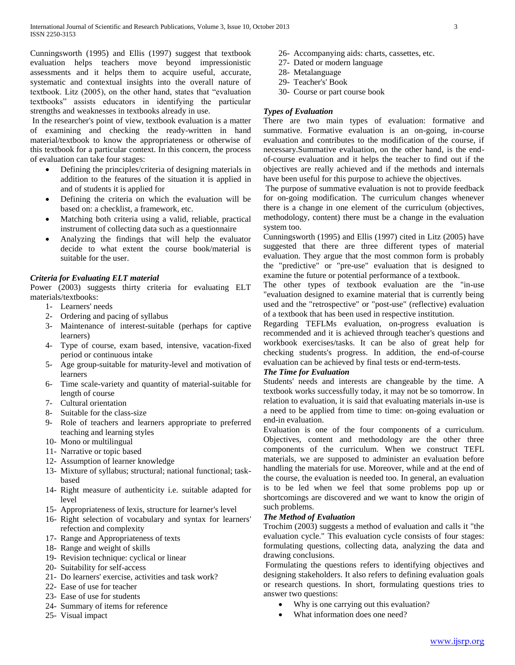Cunningsworth (1995) and Ellis (1997) suggest that textbook evaluation helps teachers move beyond impressionistic assessments and it helps them to acquire useful, accurate, systematic and contextual insights into the overall nature of textbook. Litz (2005), on the other hand, states that "evaluation textbooks" assists educators in identifying the particular strengths and weaknesses in textbooks already in use.

In the researcher's point of view, textbook evaluation is a matter of examining and checking the ready-written in hand material/textbook to know the appropriateness or otherwise of this textbook for a particular context. In this concern, the process of evaluation can take four stages:

- Defining the principles/criteria of designing materials in addition to the features of the situation it is applied in and of students it is applied for
- Defining the criteria on which the evaluation will be based on: a checklist, a framework, etc.
- Matching both criteria using a valid, reliable, practical instrument of collecting data such as a questionnaire
- Analyzing the findings that will help the evaluator decide to what extent the course book/material is suitable for the user.

## *Criteria for Evaluating ELT material*

Power (2003) suggests thirty criteria for evaluating ELT materials/textbooks:

- 1- Learners' needs
- 2- Ordering and pacing of syllabus
- 3- Maintenance of interest-suitable (perhaps for captive learners)
- 4- Type of course, exam based, intensive, vacation-fixed period or continuous intake
- 5- Age group-suitable for maturity-level and motivation of learners
- 6- Time scale-variety and quantity of material-suitable for length of course
- 7- Cultural orientation
- 8- Suitable for the class-size
- 9- Role of teachers and learners appropriate to preferred teaching and learning styles
- 10- Mono or multilingual
- 11- Narrative or topic based
- 12- Assumption of learner knowledge
- 13- Mixture of syllabus; structural; national functional; taskbased
- 14- Right measure of authenticity i.e. suitable adapted for level
- 15- Appropriateness of lexis, structure for learner's level
- 16- Right selection of vocabulary and syntax for learners' refection and complexity
- 17- Range and Appropriateness of texts
- 18- Range and weight of skills
- 19- Revision technique: cyclical or linear
- 20- Suitability for self-access
- 21- Do learners' exercise, activities and task work?
- 22- Ease of use for teacher
- 23- Ease of use for students
- 24- Summary of items for reference
- 25- Visual impact
- 26- Accompanying aids: charts, cassettes, etc.
- 27- Dated or modern language
- 28- Metalanguage
- 29- Teacher's' Book
- 30- Course or part course book

## *Types of Evaluation*

There are two main types of evaluation: formative and summative. Formative evaluation is an on-going, in-course evaluation and contributes to the modification of the course, if necessary.Summative evaluation, on the other hand, is the endof-course evaluation and it helps the teacher to find out if the objectives are really achieved and if the methods and internals have been useful for this purpose to achieve the objectives.

The purpose of summative evaluation is not to provide feedback for on-going modification. The curriculum changes whenever there is a change in one element of the curriculum (objectives, methodology, content) there must be a change in the evaluation system too.

Cunningsworth (1995) and Ellis (1997) cited in Litz (2005) have suggested that there are three different types of material evaluation. They argue that the most common form is probably the "predictive" or "pre-use" evaluation that is designed to examine the future or potential performance of a textbook.

The other types of textbook evaluation are the "in-use "evaluation designed to examine material that is currently being used and the "retrospective" or "post-use" (reflective) evaluation of a textbook that has been used in respective institution.

Regarding TEFLMs evaluation, on-progress evaluation is recommended and it is achieved through teacher's questions and workbook exercises/tasks. It can be also of great help for checking students's progress. In addition, the end-of-course evaluation can be achieved by final tests or end-term-tests.

## *The Time for Evaluation*

Students' needs and interests are changeable by the time. A textbook works successfully today, it may not be so tomorrow. In relation to evaluation, it is said that evaluating materials in-use is a need to be applied from time to time: on-going evaluation or end-in evaluation.

Evaluation is one of the four components of a curriculum. Objectives, content and methodology are the other three components of the curriculum. When we construct TEFL materials, we are supposed to administer an evaluation before handling the materials for use. Moreover, while and at the end of the course, the evaluation is needed too. In general, an evaluation is to be led when we feel that some problems pop up or shortcomings are discovered and we want to know the origin of such problems.

## *The Method of Evaluation*

Trochim (2003) suggests a method of evaluation and calls it "the evaluation cycle." This evaluation cycle consists of four stages: formulating questions, collecting data, analyzing the data and drawing conclusions.

Formulating the questions refers to identifying objectives and designing stakeholders. It also refers to defining evaluation goals or research questions. In short, formulating questions tries to answer two questions:

- Why is one carrying out this evaluation?
- What information does one need?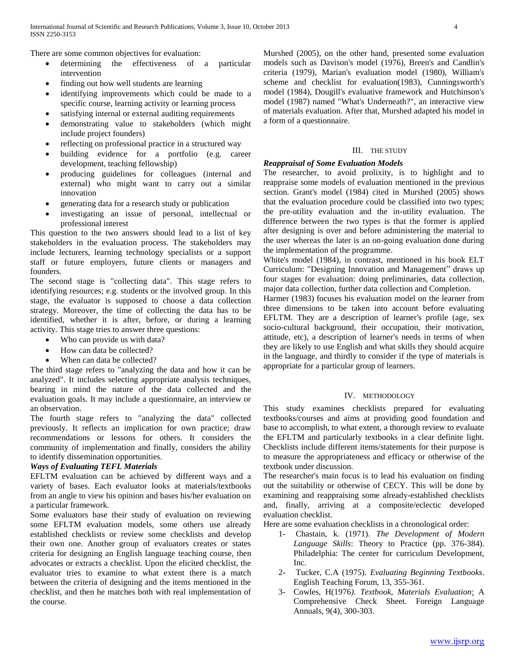There are some common objectives for evaluation:

- determining the effectiveness of a particular intervention
- finding out how well students are learning
- identifying improvements which could be made to a specific course, learning activity or learning process
- satisfying internal or external auditing requirements
- demonstrating value to stakeholders (which might include project founders)
- reflecting on professional practice in a structured way
- building evidence for a portfolio (e.g. career development, teaching fellowship)
- producing guidelines for colleagues (internal and external) who might want to carry out a similar innovation
- generating data for a research study or publication
- investigating an issue of personal, intellectual or professional interest

This question to the two answers should lead to a list of key stakeholders in the evaluation process. The stakeholders may include lecturers, learning technology specialists or a support staff or future employers, future clients or managers and founders.

The second stage is "collecting data". This stage refers to identifying resources; e.g. students or the involved group. In this stage, the evaluator is supposed to choose a data collection strategy. Moreover, the time of collecting the data has to be identified, whether it is after, before, or during a learning activity. This stage tries to answer three questions:

- Who can provide us with data?
- How can data be collected?
- When can data be collected?

The third stage refers to "analyzing the data and how it can be analyzed". It includes selecting appropriate analysis techniques, bearing in mind the nature of the data collected and the evaluation goals. It may include a questionnaire, an interview or an observation.

The fourth stage refers to "analyzing the data" collected previously. It reflects an implication for own practice; draw recommendations or lessons for others. It considers the community of implementation and finally, considers the ability to identify dissemination opportunities.

### *Ways of Evaluating TEFL Materials*

EFLTM evaluation can be achieved by different ways and a variety of bases. Each evaluator looks at materials/textbooks from an angle to view his opinion and bases his/her evaluation on a particular framework.

Some evaluators base their study of evaluation on reviewing some EFLTM evaluation models, some others use already established checklists or review some checklists and develop their own one. Another group of evaluators creates or states criteria for designing an English language teaching course, then advocates or extracts a checklist. Upon the elicited checklist, the evaluator tries to examine to what extent there is a match between the criteria of designing and the items mentioned in the checklist, and then he matches both with real implementation of the course.

Murshed (2005), on the other hand, presented some evaluation models such as Davison's model (1976), Breen's and Candlin's criteria (1979), Marian's evaluation model (1980), William's scheme and checklist for evaluation(1983), Cunningsworth's model (1984), Dougill's evaluative framework and Hutchinson's model (1987) named "What's Underneath?", an interactive view of materials evaluation. After that, Murshed adapted his model in a form of a questionnaire.

#### III. THE STUDY

### *Reappraisal of Some Evaluation Models*

The researcher, to avoid prolixity, is to highlight and to reappraise some models of evaluation mentioned in the previous section. Grant's model (1984) cited in Murshed (2005) shows that the evaluation procedure could be classified into two types; the pre-utility evaluation and the in-utility evaluation. The difference between the two types is that the former is applied after designing is over and before administering the material to the user whereas the later is an on-going evaluation done during the implementation of the programme.

White's model (1984), in contrast, mentioned in his book ELT Curriculum: "Designing Innovation and Management" draws up four stages for evaluation: doing preliminaries, data collection, major data collection, further data collection and Completion.

Harmer (1983) focuses his evaluation model on the learner from three dimensions to be taken into account before evaluating EFLTM. They are a description of learner's profile (age, sex socio-cultural background, their occupation, their motivation, attitude, etc), a description of learner's needs in terms of when they are likely to use English and what skills they should acquire in the language, and thirdly to consider if the type of materials is appropriate for a particular group of learners.

### IV. METHODOLOGY

This study examines checklists prepared for evaluating textbooks/courses and aims at providing good foundation and base to accomplish, to what extent, a thorough review to evaluate the EFLTM and particularly textbooks in a clear definite light. Checklists include different items/statements for their purpose is to measure the appropriateness and efficacy or otherwise of the textbook under discussion.

The researcher's main focus is to lead his evaluation on finding out the suitability or otherwise of CECY. This will be done by examining and reappraising some already-established checklists and, finally, arriving at a composite/eclectic developed evaluation checklist.

Here are some evaluation checklists in a chronological order:

- 1- Chastain, k. (1971). *The Development of Modern Language Skills*: Theory to Practice (pp. 376-384). Philadelphia: The center for curriculum Development, Inc.
- 2- Tucker, C.A (1975). *Evaluating Beginning Textbooks*. English Teaching Forum, 13, 355-361.
- 3- Cowles, H(1976*). Textbook, Materials Evaluation*: A Comprehensive Check Sheet. Foreign Language Annuals, 9(4), 300-303.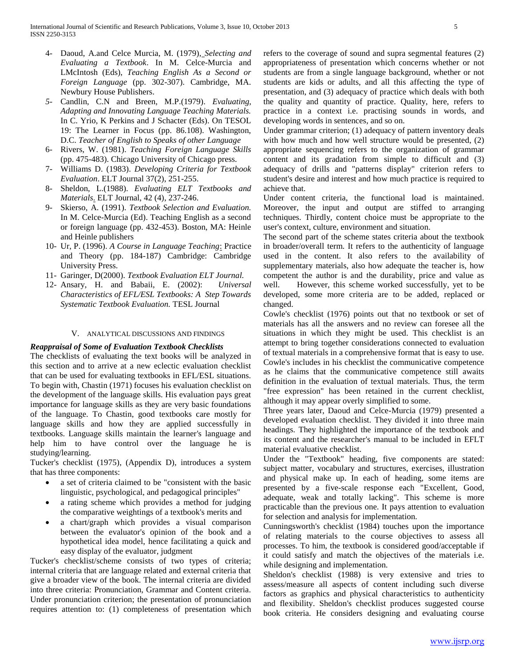- 4- Daoud, A.and Celce Murcia, M. (1979), *Selecting and Evaluating a Textbook*. In M. Celce-Murcia and LMcIntosh (Eds), *Teaching English As a Second or Foreign Language* (pp. 302-307). Cambridge, MA. Newbury House Publishers.
- *5-* Candlin, C.N and Breen, M.P.(1979). *Evaluating, Adapting and Innovating Language Teaching Materials.* In C. Yrio, K Perkins and J Schacter (Eds). On TESOL 19: The Learner in Focus (pp. 86.108). Washington, D.C. *Teacher of English to Speaks of other Language*
- 6- Rivers, W. (1981). *Teaching Foreign Language Skills* (pp. 475-483). Chicago University of Chicago press.
- 7- Williams D. (1983). *Developing Criteria for Textbook Evaluation*. ELT Journal 37(2), 251-255.
- 8- Sheldon, L.(1988). *Evaluating ELT Textbooks and Materials*. ELT Journal, 42 (4), 237-246.
- 9- Skierso, A. (1991). *Textbook Selection and Evaluation.* In M. Celce-Murcia (Ed). Teaching English as a second or foreign language (pp. 432-453). Boston, MA: Heinle and Heinle publishers
- 10- Ur, P. (1996). *A Course in Language Teaching*: Practice and Theory (pp. 184-187) Cambridge: Cambridge University Press.
- 11- Garinger, D(2000). *Textbook Evaluation ELT Journal.*
- 12- Ansary, H. and Babaii, E. (2002): *Universal Characteristics of EFL/ESL Textbooks: A Step Towards Systematic Textbook Evaluation.* TESL Journal

#### V. ANALYTICAL DISCUSSIONS AND FINDINGS

#### *Reappraisal of Some of Evaluation Textbook Checklists*

The checklists of evaluating the text books will be analyzed in this section and to arrive at a new eclectic evaluation checklist that can be used for evaluating textbooks in EFL/ESL situations. To begin with, Chastin (1971) focuses his evaluation checklist on the development of the language skills. His evaluation pays great importance for language skills as they are very basic foundations of the language. To Chastin, good textbooks care mostly for language skills and how they are applied successfully in textbooks. Language skills maintain the learner's language and help him to have control over the language he is studying/learning.

Tucker's checklist (1975), (Appendix D), introduces a system that has three components:

- a set of criteria claimed to be "consistent with the basic linguistic, psychological, and pedagogical principles"
- a rating scheme which provides a method for judging the comparative weightings of a textbook's merits and
- a chart/graph which provides a visual comparison between the evaluator's opinion of the book and a hypothetical idea model, hence facilitating a quick and easy display of the evaluator, judgment

Tucker's checklist/scheme consists of two types of criteria; internal criteria that are language related and external criteria that give a broader view of the book. The internal criteria are divided into three criteria: Pronunciation, Grammar and Content criteria. Under pronunciation criterion; the presentation of pronunciation requires attention to: (1) completeness of presentation which refers to the coverage of sound and supra segmental features (2) appropriateness of presentation which concerns whether or not students are from a single language background, whether or not students are kids or adults, and all this affecting the type of presentation, and (3) adequacy of practice which deals with both the quality and quantity of practice. Quality, here, refers to practice in a context i.e. practising sounds in words, and developing words in sentences, and so on.

Under grammar criterion; (1) adequacy of pattern inventory deals with how much and how well structure would be presented, (2) appropriate sequencing refers to the organization of grammar content and its gradation from simple to difficult and (3) adequacy of drills and "patterns display" criterion refers to student's desire and interest and how much practice is required to achieve that.

Under content criteria, the functional load is maintained. Moreover, the input and output are stiffed to arranging techniques. Thirdly, content choice must be appropriate to the user's context, culture, environment and situation.

The second part of the scheme states criteria about the textbook in broader/overall term. It refers to the authenticity of language used in the content. It also refers to the availability of supplementary materials, also how adequate the teacher is, how competent the author is and the durability, price and value as well. However, this scheme worked successfully, yet to be developed, some more criteria are to be added, replaced or changed.

Cowle's checklist (1976) points out that no textbook or set of materials has all the answers and no review can foresee all the situations in which they might be used. This checklist is an attempt to bring together considerations connected to evaluation of textual materials in a comprehensive format that is easy to use. Cowle's includes in his checklist the communicative competence as he claims that the communicative competence still awaits definition in the evaluation of textual materials. Thus, the term "free expression" has been retained in the current checklist, although it may appear overly simplified to some.

Three years later, Daoud and Celce-Murcia (1979) presented a developed evaluation checklist. They divided it into three main headings. They highlighted the importance of the textbook and its content and the researcher's manual to be included in EFLT material evaluative checklist.

Under the "Textbook" heading, five components are stated: subject matter, vocabulary and structures, exercises, illustration and physical make up. In each of heading, some items are presented by a five-scale response each "Excellent, Good, adequate, weak and totally lacking". This scheme is more practicable than the previous one. It pays attention to evaluation for selection and analysis for implementation.

Cunningsworth's checklist (1984) touches upon the importance of relating materials to the course objectives to assess all processes. To him, the textbook is considered good/acceptable if it could satisfy and match the objectives of the materials i.e. while designing and implementation.

Sheldon's checklist (1988) is very extensive and tries to assess/measure all aspects of content including such diverse factors as graphics and physical characteristics to authenticity and flexibility. Sheldon's checklist produces suggested course book criteria. He considers designing and evaluating course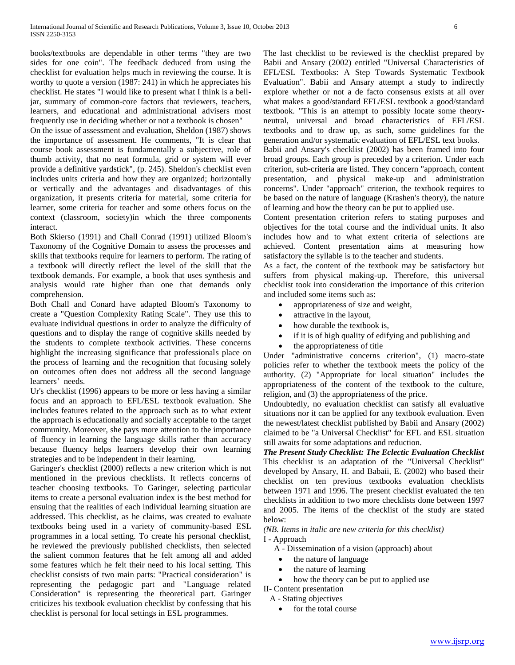books/textbooks are dependable in other terms "they are two sides for one coin". The feedback deduced from using the checklist for evaluation helps much in reviewing the course. It is worthy to quote a version (1987: 241) in which he appreciates his checklist. He states "I would like to present what I think is a belljar, summary of common-core factors that reviewers, teachers, learners, and educational and administrational advisers most frequently use in deciding whether or not a textbook is chosen"

On the issue of assessment and evaluation, Sheldon (1987) shows the importance of assessment. He comments, "It is clear that course book assessment is fundamentally a subjective, role of thumb activity, that no neat formula, grid or system will ever provide a definitive yardstick", (p. 245). Sheldon's checklist even includes units criteria and how they are organized; horizontally or vertically and the advantages and disadvantages of this organization, it presents criteria for material, some criteria for learner, some criteria for teacher and some others focus on the context (classroom, society)in which the three components interact.

Both Skierso (1991) and Chall Conrad (1991) utilized Bloom's Taxonomy of the Cognitive Domain to assess the processes and skills that textbooks require for learners to perform. The rating of a textbook will directly reflect the level of the skill that the textbook demands. For example, a book that uses synthesis and analysis would rate higher than one that demands only comprehension.

Both Chall and Conard have adapted Bloom's Taxonomy to create a "Question Complexity Rating Scale". They use this to evaluate individual questions in order to analyze the difficulty of questions and to display the range of cognitive skills needed by the students to complete textbook activities. These concerns highlight the increasing significance that professionals place on the process of learning and the recognition that focusing solely on outcomes often does not address all the second language learners' needs.

Ur's checklist (1996) appears to be more or less having a similar focus and an approach to EFL/ESL textbook evaluation. She includes features related to the approach such as to what extent the approach is educationally and socially acceptable to the target community. Moreover, she pays more attention to the importance of fluency in learning the language skills rather than accuracy because fluency helps learners develop their own learning strategies and to be independent in their learning.

Garinger's checklist (2000) reflects a new criterion which is not mentioned in the previous checklists. It reflects concerns of teacher choosing textbooks. To Garinger, selecting particular items to create a personal evaluation index is the best method for ensuing that the realities of each individual learning situation are addressed. This checklist, as he claims, was created to evaluate textbooks being used in a variety of community-based ESL programmes in a local setting. To create his personal checklist, he reviewed the previously published checklists, then selected the salient common features that he felt among all and added some features which he felt their need to his local setting. This checklist consists of two main parts: "Practical consideration" is representing the pedagogic part and "Language related Consideration" is representing the theoretical part. Garinger criticizes his textbook evaluation checklist by confessing that his checklist is personal for local settings in ESL programmes.

The last checklist to be reviewed is the checklist prepared by Babii and Ansary (2002) entitled "Universal Characteristics of EFL/ESL Textbooks: A Step Towards Systematic Textbook Evaluation". Babii and Ansary attempt a study to indirectly explore whether or not a de facto consensus exists at all over what makes a good/standard EFL/ESL textbook a good/standard textbook. "This is an attempt to possibly locate some theoryneutral, universal and broad characteristics of EFL/ESL textbooks and to draw up, as such, some guidelines for the generation and/or systematic evaluation of EFL/ESL text books.

Babii and Ansary's checklist (2002) has been framed into four broad groups. Each group is preceded by a criterion. Under each criterion, sub-criteria are listed. They concern "approach, content presentation, and physical make-up and administration concerns". Under "approach" criterion, the textbook requires to be based on the nature of language (Krashen's theory), the nature of learning and how the theory can be put to applied use.

Content presentation criterion refers to stating purposes and objectives for the total course and the individual units. It also includes how and to what extent criteria of selections are achieved. Content presentation aims at measuring how satisfactory the syllable is to the teacher and students.

As a fact, the content of the textbook may be satisfactory but suffers from physical making-up. Therefore, this universal checklist took into consideration the importance of this criterion and included some items such as:

- appropriateness of size and weight,
- attractive in the layout,
- how durable the textbook is,
- if it is of high quality of edifying and publishing and
- the appropriateness of title

Under "administrative concerns criterion", (1) macro-state policies refer to whether the textbook meets the policy of the authority. (2) "Appropriate for local situation" includes the appropriateness of the content of the textbook to the culture, religion, and (3) the appropriateness of the price.

Undoubtedly, no evaluation checklist can satisfy all evaluative situations nor it can be applied for any textbook evaluation. Even the newest/latest checklist published by Babii and Ansary (2002) claimed to be "a Universal Checklist" for EFL and ESL situation still awaits for some adaptations and reduction.

*The Present Study Checklist: The Eclectic Evaluation Checklist* This checklist is an adaptation of the "Universal Checklist" developed by Ansary, H. and Babaii, E. (2002) who based their checklist on ten previous textbooks evaluation checklists between 1971 and 1996. The present checklist evaluated the ten checklists in addition to two more checklists done between 1997 and 2005. The items of the checklist of the study are stated below:

#### *(NB. Items in italic are new criteria for this checklist)* I - Approach

A - Dissemination of a vision (approach) about

- the nature of language
- the nature of learning
- how the theory can be put to applied use
- II- Content presentation
	- A Stating objectives
		- for the total course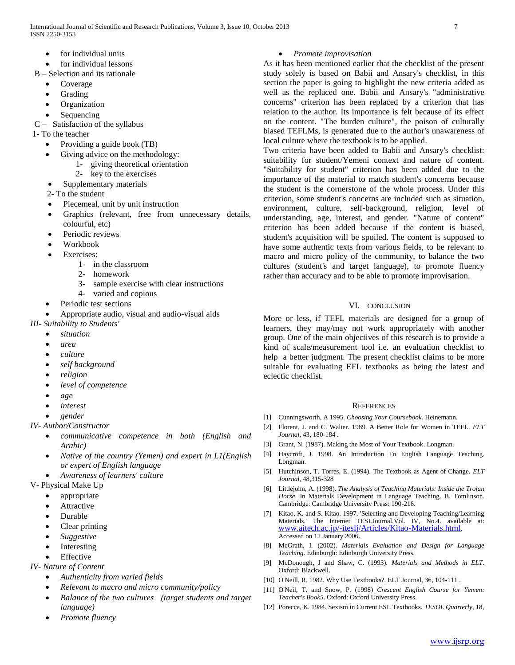- for individual units
- for individual lessons
- B Selection and its rationale
	- Coverage
	- Grading
	- Organization
	- Sequencing
- C Satisfaction of the syllabus
- 1- To the teacher
	- Providing a guide book (TB)
	- Giving advice on the methodology:
		- 1- giving theoretical orientation
			- 2- key to the exercises
	- Supplementary materials
	- 2- To the student
	- Piecemeal, unit by unit instruction
	- Graphics (relevant, free from unnecessary details, colourful, etc)
	- Periodic reviews
	- Workbook
	- Exercises:
		- 1- in the classroom
		- 2- homework
		- 3- sample exercise with clear instructions
		- 4- varied and copious
	- Periodic test sections
	- Appropriate audio, visual and audio-visual aids
- *III- Suitability to Students'*
	- *situation*
	- *area*
	- *culture*
	- *self background*
	- *religion*
	- *level of competence*
	- *age*
	- *interest*
	- *gender*
- *IV- Author/Constructor*
	- *communicative competence in both (English and Arabic)*
	- *Native of the country (Yemen) and expert in L1(English or expert of English language*
	- *Awareness of learners' culture*
- V- Physical Make Up
	- appropriate
	- Attractive
	- Durable
	- Clear printing
	- *Suggestive*
	- Interesting
	- Effective
- *IV- Nature of Content* 
	- *Authenticity from varied fields*
	- *Relevant to macro and micro community/policy*
	- *Balance of the two cultures (target students and target language)*
	- *Promote fluency*

# *Promote improvisation*

As it has been mentioned earlier that the checklist of the present study solely is based on Babii and Ansary's checklist, in this section the paper is going to highlight the new criteria added as well as the replaced one. Babii and Ansary's "administrative concerns" criterion has been replaced by a criterion that has relation to the author. Its importance is felt because of its effect on the content. "The burden culture", the poison of culturally biased TEFLMs, is generated due to the author's unawareness of local culture where the textbook is to be applied.

Two criteria have been added to Babii and Ansary's checklist: suitability for student/Yemeni context and nature of content. "Suitability for student" criterion has been added due to the importance of the material to match student's concerns because the student is the cornerstone of the whole process. Under this criterion, some student's concerns are included such as situation, environment, culture, self-background, religion, level of understanding, age, interest, and gender. "Nature of content" criterion has been added because if the content is biased, student's acquisition will be spoiled. The content is supposed to have some authentic texts from various fields, to be relevant to macro and micro policy of the community, to balance the two cultures (student's and target language), to promote fluency rather than accuracy and to be able to promote improvisation.

# VI. CONCLUSION

More or less, if TEFL materials are designed for a group of learners, they may/may not work appropriately with another group. One of the main objectives of this research is to provide a kind of scale/measurement tool i.e. an evaluation checklist to help a better judgment. The present checklist claims to be more suitable for evaluating EFL textbooks as being the latest and eclectic checklist.

### **REFERENCES**

- [1] Cunningsworth, A 1995. *Choosing Your Coursebook*. Heinemann.
- [2] Florent, J. and C. Walter. 1989. A Better Role for Women in TEFL. *ELT Journal*, 43, 180-184 .
- [3] Grant, N. (1987). Making the Most of Your Textbook. Longman.
- [4] Haycroft, J. 1998. An Introduction To English Language Teaching. Longman.
- [5] Hutchinson, T. Torres, E. (1994). The Textbook as Agent of Change. *ELT Journal,* 48,315-328
- [6] Littlejohn, A. (1998). *The Analysis of Teaching Materials: Inside the Trojan Horse*. In Materials Development in Language Teaching. B. Tomlinson. Cambridge: Cambridge University Press: 190-216.
- [7] Kitao, K. and S. Kitao. 1997. 'Selecting and Developing Teaching/Learning Materials.' The Internet TESLJournal.Vol. IV, No.4. available at: [www.aitech.ac.jp/-iteslj/Articles/Kitao-Materials.html](http://www.aitech.ac.jp/-iteslj/Articles/Kitao-Materials.html). Accessed on 12 January 2006.
- [8] McGrath, I. (2002). *Materials Evaluation and Design for Language Teaching*. Edinburgh: Edinburgh University Press.
- [9] McDonough, J and Shaw, C. (1993). *Materials and Methods in ELT*. Oxford: Blackwell.
- [10] O'Neill, R. 1982. Why Use Textbooks?. ELT Journal, 36, 104-111 .
- [11] O'Neil, T. and Snow, P. (1998) *Crescent English Course for Yemen: Teacher's Book5*. Oxford: Oxford University Press.
- [12] Porecca, K. 1984. Sexism in Current ESL Textbooks. *TESOL Quarterly*, 18,